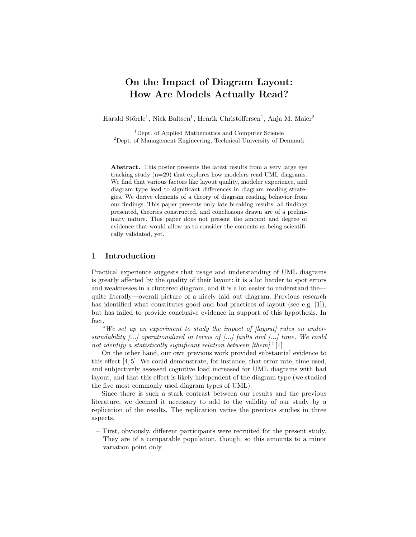# On the Impact of Diagram Layout: How Are Models Actually Read?

Harald Störrle<sup>1</sup>, Nick Baltsen<sup>1</sup>, Henrik Christoffersen<sup>1</sup>, Anja M. Maier<sup>2</sup>

<sup>1</sup>Dept. of Applied Mathematics and Computer Science  ${}^{2}$ Dept. of Management Engineering, Technical University of Denmark

Abstract. This poster presents the latest results from a very large eye tracking study (n=29) that explores how modelers read UML diagrams. We find that various factors like layout quality, modeler experience, and diagram type lead to significant differences in diagram reading strategies. We derive elements of a theory of diagram reading behavior from our findings. This paper presents only late breaking results: all findings presented, theories constructed, and conclusions drawn are of a preliminary nature. This paper does not present the amount and degree of evidence that would allow us to consider the contents as being scientifically validated, yet.

### 1 Introduction

Practical experience suggests that usage and understanding of UML diagrams is greatly affected by the quality of their layout: it is a lot harder to spot errors and weaknesses in a cluttered diagram, and it is a lot easier to understand the quite literally—overall picture of a nicely laid out diagram. Previous research has identified what constitutes good and bad practices of layout (see e.g. [1]), but has failed to provide conclusive evidence in support of this hypothesis. In fact,

"We set up an experiment to study the impact of  $[$ layout $]$  rules on understandability [...] operationalized in terms of [...] faults and [...] time. We could not identify a statistically significant relation between [them]."[1]

On the other hand, our own previous work provided substantial evidence to this effect [4, 5]. We could demonstrate, for instance, that error rate, time used, and subjectively assessed cognitive load increased for UML diagrams with bad layout, and that this effect is likely independent of the diagram type (we studied the five most commonly used diagram types of UML).

Since there is such a stark contrast between our results and the previous literature, we deemed it necessary to add to the validity of our study by a replication of the results. The replication varies the previous studies in three aspects.

– First, obviously, different participants were recruited for the present study. They are of a comparable population, though, so this amounts to a minor variation point only.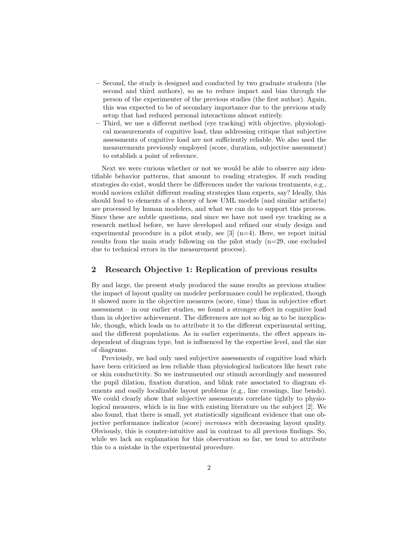- Second, the study is designed and conducted by two graduate students (the second and third authors), so as to reduce impact and bias through the person of the experimenter of the previous studies (the first author). Again, this was expected to be of secondary importance due to the previous study setup that had reduced personal interactions almost entirely.
- Third, we use a different method (eye tracking) with objective, physiological measurements of cognitive load, thus addressing critique that subjective assessments of cognitive load are not sufficiently reliable. We also used the measurements previously employed (score, duration, subjective assessment) to establish a point of reference.

Next we were curious whether or not we would be able to observe any identifiable behavior patterns, that amount to reading strategies. If such reading strategies do exist, would there be differences under the various treatments, e.g., would novices exhibit different reading strategies than experts, say? Ideally, this should lead to elements of a theory of how UML models (and similar artifacts) are processed by human modelers, and what we can do to support this process. Since these are subtle questions, and since we have not used eye tracking as a research method before, we have developed and refined our study design and experimental procedure in a pilot study, see  $[3]$  (n=4). Here, we report initial results from the main study following on the pilot study (n=29, one excluded due to technical errors in the measurement process).

#### 2 Research Objective 1: Replication of previous results

By and large, the present study produced the same results as previous studies: the impact of layout quality on modeler performance could be replicated, though it showed more in the objective measures (score, time) than in subjective effort assessment – in our earlier studies, we found a stronger effect in cognitive load than in objective achievement. The differences are not so big as to be inexplicable, though, which leads us to attribute it to the different experimental setting, and the different populations. As in earlier experiments, the effect appears independent of diagram type, but is influenced by the expertise level, and the size of diagrams.

Previously, we had only used subjective assessments of cognitive load which have been criticized as less reliable than physiological indicators like heart rate or skin conductivity. So we instrumented our stimuli accordingly and measured the pupil dilation, fixation duration, and blink rate associated to diagram elements and easily localizable layout problems (e.g., line crossings, line bends). We could clearly show that subjective assessments correlate tightly to physiological measures, which is in line with existing literature on the subject [2]. We also found, that there is small, yet statistically significant evidence that one objective performance indicator (score) increases with decreasing layout quality. Obviously, this is counter-intuitive and in contrast to all previous findings. So, while we lack an explanation for this observation so far, we tend to attribute this to a mistake in the experimental procedure.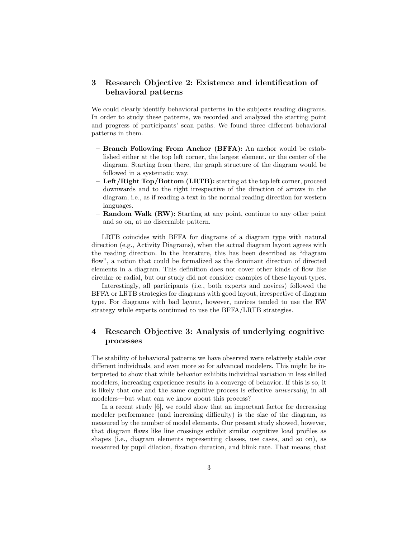### 3 Research Objective 2: Existence and identification of behavioral patterns

We could clearly identify behavioral patterns in the subjects reading diagrams. In order to study these patterns, we recorded and analyzed the starting point and progress of participants' scan paths. We found three different behavioral patterns in them.

- Branch Following From Anchor (BFFA): An anchor would be established either at the top left corner, the largest element, or the center of the diagram. Starting from there, the graph structure of the diagram would be followed in a systematic way.
- Left/Right Top/Bottom (LRTB): starting at the top left corner, proceed downwards and to the right irrespective of the direction of arrows in the diagram, i.e., as if reading a text in the normal reading direction for western languages.
- $-$  Random Walk (RW): Starting at any point, continue to any other point and so on, at no discernible pattern.

LRTB coincides with BFFA for diagrams of a diagram type with natural direction (e.g., Activity Diagrams), when the actual diagram layout agrees with the reading direction. In the literature, this has been described as "diagram flow", a notion that could be formalized as the dominant direction of directed elements in a diagram. This definition does not cover other kinds of flow like circular or radial, but our study did not consider examples of these layout types.

Interestingly, all participants (i.e., both experts and novices) followed the BFFA or LRTB strategies for diagrams with good layout, irrespective of diagram type. For diagrams with bad layout, however, novices tended to use the RW strategy while experts continued to use the BFFA/LRTB strategies.

## 4 Research Objective 3: Analysis of underlying cognitive processes

The stability of behavioral patterns we have observed were relatively stable over different individuals, and even more so for advanced modelers. This might be interpreted to show that while behavior exhibits individual variation in less skilled modelers, increasing experience results in a converge of behavior. If this is so, it is likely that one and the same cognitive process is effective universally, in all modelers—but what can we know about this process?

In a recent study [6], we could show that an important factor for decreasing modeler performance (and increasing difficulty) is the size of the diagram, as measured by the number of model elements. Our present study showed, however, that diagram flaws like line crossings exhibit similar cognitive load profiles as shapes (i.e., diagram elements representing classes, use cases, and so on), as measured by pupil dilation, fixation duration, and blink rate. That means, that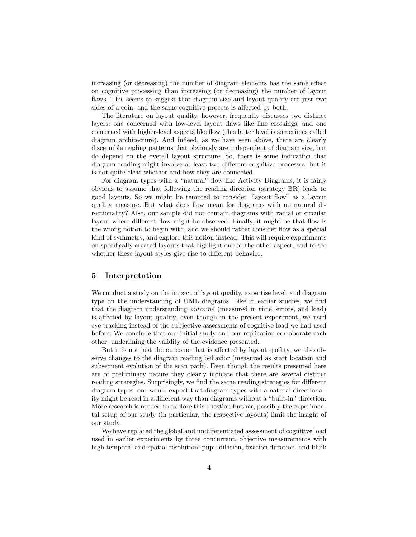increasing (or decreasing) the number of diagram elements has the same effect on cognitive processing than increasing (or decreasing) the number of layout flaws. This seems to suggest that diagram size and layout quality are just two sides of a coin, and the same cognitive process is affected by both.

The literature on layout quality, however, frequently discusses two distinct layers: one concerned with low-level layout flaws like line crossings, and one concerned with higher-level aspects like flow (this latter level is sometimes called diagram architecture). And indeed, as we have seen above, there are clearly discernible reading patterns that obviously are independent of diagram size, but do depend on the overall layout structure. So, there is some indication that diagram reading might involve at least two different cognitive processes, but it is not quite clear whether and how they are connected.

For diagram types with a "natural" flow like Activity Diagrams, it is fairly obvious to assume that following the reading direction (strategy BR) leads to good layouts. So we might be tempted to consider "layout flow" as a layout quality measure. But what does flow mean for diagrams with no natural directionality? Also, our sample did not contain diagrams with radial or circular layout where different flow might be observed. Finally, it might be that flow is the wrong notion to begin with, and we should rather consider flow as a special kind of symmetry, and explore this notion instead. This will require experiments on specifically created layouts that highlight one or the other aspect, and to see whether these layout styles give rise to different behavior.

### 5 Interpretation

We conduct a study on the impact of layout quality, expertise level, and diagram type on the understanding of UML diagrams. Like in earlier studies, we find that the diagram understanding outcome (measured in time, errors, and load) is affected by layout quality, even though in the present experiment, we used eye tracking instead of the subjective assessments of cognitive load we had used before. We conclude that our initial study and our replication corroborate each other, underlining the validity of the evidence presented.

But it is not just the outcome that is affected by layout quality, we also observe changes to the diagram reading behavior (measured as start location and subsequent evolution of the scan path). Even though the results presented here are of preliminary nature they clearly indicate that there are several distinct reading strategies. Surprisingly, we find the same reading strategies for different diagram types: one would expect that diagram types with a natural directionality might be read in a different way than diagrams without a "built-in" direction. More research is needed to explore this question further, possibly the experimental setup of our study (in particular, the respective layouts) limit the insight of our study.

We have replaced the global and undifferentiated assessment of cognitive load used in earlier experiments by three concurrent, objective measurements with high temporal and spatial resolution: pupil dilation, fixation duration, and blink